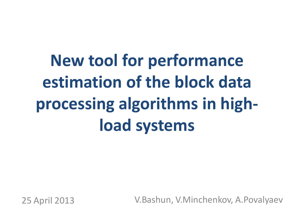# **New tool for performance estimation of the block data processing algorithms in highload systems**

25 April 2013 V.Bashun, V.Minchenkov, A.Povalyaev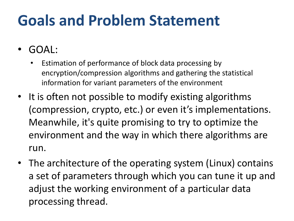### **Goals and Problem Statement**

- GOAL:
	- Estimation of performance of block data processing by encryption/compression algorithms and gathering the statistical information for variant parameters of the environment
- It is often not possible to modify existing algorithms (compression, crypto, etc.) or even it's implementations. Meanwhile, it's quite promising to try to optimize the environment and the way in which there algorithms are run.
- The architecture of the operating system (Linux) contains a set of parameters through which you can tune it up and adjust the working environment of a particular data processing thread.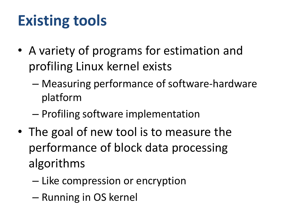### **Existing tools**

- A variety of programs for estimation and profiling Linux kernel exists
	- Measuring performance of software-hardware platform
	- Profiling software implementation
- The goal of new tool is to measure the performance of block data processing algorithms
	- Like compression or encryption
	- Running in OS kernel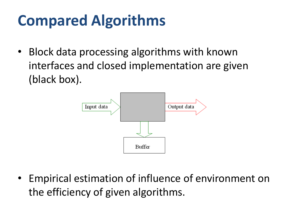## **Compared Algorithms**

• Block data processing algorithms with known interfaces and closed implementation are given (black box).



• Empirical estimation of influence of environment on the efficiency of given algorithms.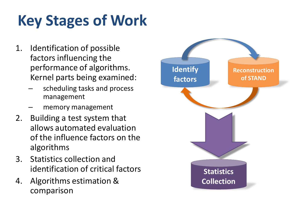# **Key Stages of Work**

- 1. Identification of possible factors influencing the performance of algorithms. Kernel parts being examined:
	- scheduling tasks and process management
	- memory management
- 2. Building a test system that allows automated evaluation of the influence factors on the algorithms
- 3. Statistics collection and identification of critical factors
- 4. Algorithms estimation & comparison

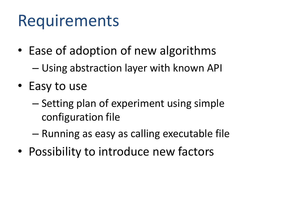# Requirements

- Ease of adoption of new algorithms
	- Using abstraction layer with known API
- Easy to use
	- Setting plan of experiment using simple configuration file
	- Running as easy as calling executable file
- Possibility to introduce new factors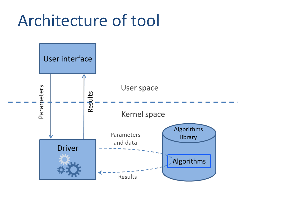### Architecture of tool

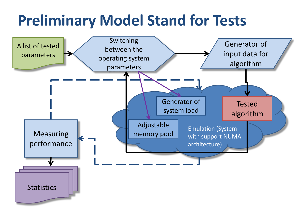#### **Preliminary Model Stand for Tests**

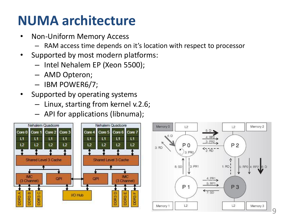#### **NUMA architecture**

- Non-Uniform Memory Access
	- RAM access time depends on it's location with respect to processor
- Supported by most modern platforms:
	- Intel Nehalem EP (Xeon 5500);
	- AMD Opteron;
	- IBM POWER6/7;
- Supported by operating systems
	- Linux, starting from kernel v.2.6;
	- API for applications (libnuma);

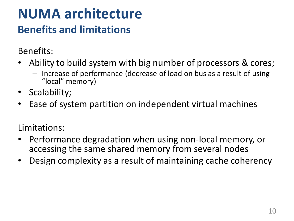#### **NUMA architecture Benefits and limitations**

Benefits:

- Ability to build system with big number of processors & cores;
	- Increase of performance (decrease of load on bus as a result of using "local" memory)
- Scalability;
- Ease of system partition on independent virtual machines

Limitations:

- Performance degradation when using non-local memory, or accessing the same shared memory from several nodes
- Design complexity as a result of maintaining cache coherency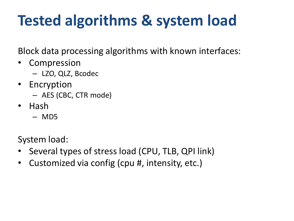## **Tested algorithms & system load**

Block data processing algorithms with known interfaces:

- Compression
	- LZO, QLZ, Bcodec
- Encryption
	- AES (CBC, CTR mode)
- Hash
	- MD5

System load:

- Several types of stress load (CPU, TLB, QPI link)
- Customized via config (cpu #, intensity, etc.)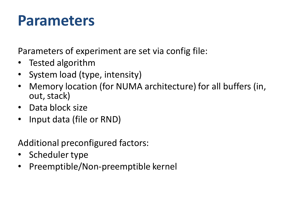#### **Parameters**

Parameters of experiment are set via config file:

- Tested algorithm
- System load (type, intensity)
- Memory location (for NUMA architecture) for all buffers (in, out, stack)
- Data block size
- Input data (file or RND)

Additional preconfigured factors:

- Scheduler type
- Preemptible/Non-preemptible kernel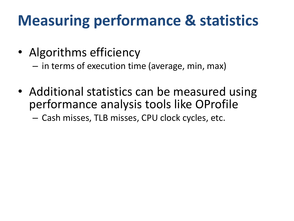#### **Measuring performance & statistics**

- Algorithms efficiency
	- in terms of execution time (average, min, max)
- Additional statistics can be measured using performance analysis tools like OProfile

– Cash misses, TLB misses, CPU clock cycles, etc.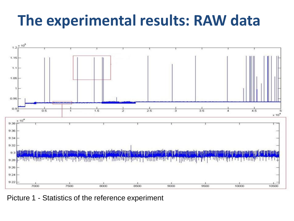#### **The experimental results: RAW data**



Picture 1 - Statistics of the reference experiment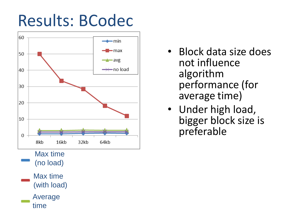# Results: BCodec



- Block data size does not influence algorithm performance (for average time)
- Under high load, bigger block size is preferable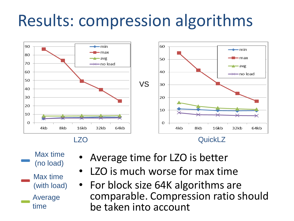# Results: compression algorithms



- Max time (no load) Average time Max time (with load)
- Average time for LZO is better
- LZO is much worse for max time
- For block size 64K algorithms are comparable. Compression ratio should be taken into account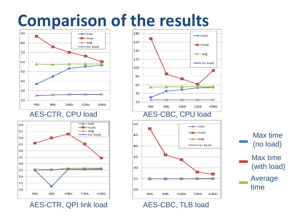### **Comparison of the results**



#### AES-CTR, CPU load



AES-CTR, QPI link load



AES-CBC, TLB load

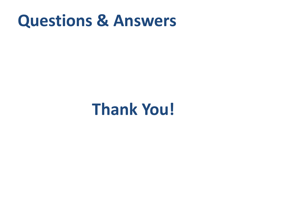#### **Questions & Answers**

## **Thank You!**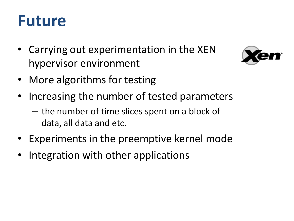### **Future**

• Carrying out experimentation in the XEN hypervisor environment



- More algorithms for testing
- Increasing the number of tested parameters
	- the number of time slices spent on a block of data, all data and etc.
- Experiments in the preemptive kernel mode
- Integration with other applications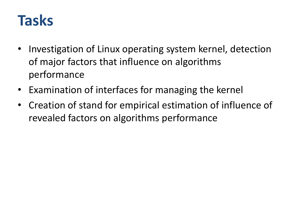#### **Tasks**

- Investigation of Linux operating system kernel, detection of major factors that influence on algorithms performance
- Examination of interfaces for managing the kernel
- Creation of stand for empirical estimation of influence of revealed factors on algorithms performance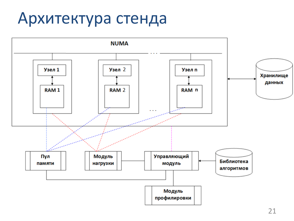## Архитектура стенда

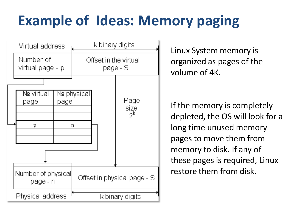## **Example of Ideas: Memory paging**



Linux System memory is organized as pages of the volume of 4K.

If the memory is completely depleted, the OS will look for a long time unused memory pages to move them from memory to disk. If any of these pages is required, Linux restore them from disk.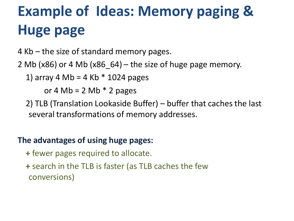# **Example of Ideas: Memory paging & Huge page**

4 Kb – the size of standard memory pages.

2 Mb ( $x86$ ) or 4 Mb ( $x86$  64) – the size of huge page memory.

1) array 4 Mb = 4 Kb  $*$  1024 pages

or 4 Mb = 2 Mb  $*$  2 pages

 2) TLB (Translation Lookaside Buffer) – buffer that caches the last several transformations of memory addresses.

#### **The advantages of using huge pages:**

- **+** fewer pages required to allocate.
- **+** search in the TLB is faster (as TLB caches the few conversions)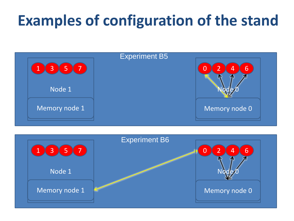#### **Examples of configuration of the stand**



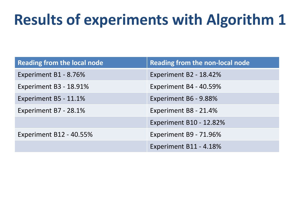### **Results of experiments with Algorithm 1**

| <b>Reading from the local node</b> | Reading from the non-local node |
|------------------------------------|---------------------------------|
| Experiment B1 - 8.76%              | Experiment B2 - 18.42%          |
| Experiment B3 - 18.91%             | Experiment B4 - 40.59%          |
| Experiment B5 - 11.1%              | Experiment B6 - 9.88%           |
| Experiment B7 - 28.1%              | Experiment B8 - 21.4%           |
|                                    | <b>Experiment B10 - 12.82%</b>  |
| <b>Experiment B12 - 40.55%</b>     | Experiment B9 - 71.96%          |
|                                    | Experiment B11 - 4.18%          |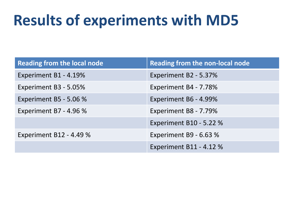#### **Results of experiments with MD5**

| <b>Reading from the local node</b> | <b>Reading from the non-local node</b> |
|------------------------------------|----------------------------------------|
| Experiment B1 - 4.19%              | Experiment B2 - 5.37%                  |
| Experiment B3 - 5.05%              | Experiment B4 - 7.78%                  |
| Experiment B5 - 5.06 %             | Experiment B6 - 4.99%                  |
| Experiment B7 - 4.96 %             | Experiment B8 - 7.79%                  |
|                                    | <b>Experiment B10 - 5.22 %</b>         |
| Experiment B12 - 4.49 %            | Experiment B9 - 6.63 %                 |
|                                    | <b>Experiment B11 - 4.12 %</b>         |